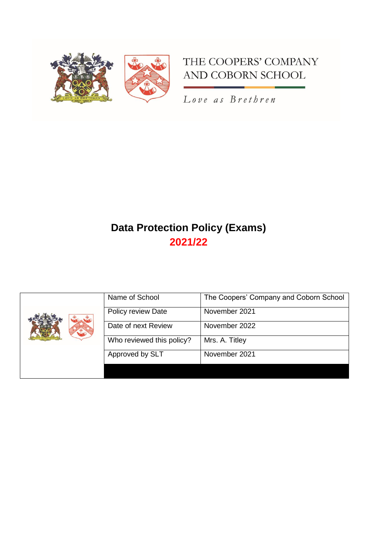

# THE COOPERS' COMPANY AND COBORN SCHOOL

Love as Brethren

# **Data Protection Policy (Exams) 2021/22**

| Name of School            | The Coopers' Company and Coborn School |
|---------------------------|----------------------------------------|
| Policy review Date        | November 2021                          |
| Date of next Review       | November 2022                          |
| Who reviewed this policy? | Mrs. A. Titley                         |
| Approved by SLT           | November 2021                          |
|                           |                                        |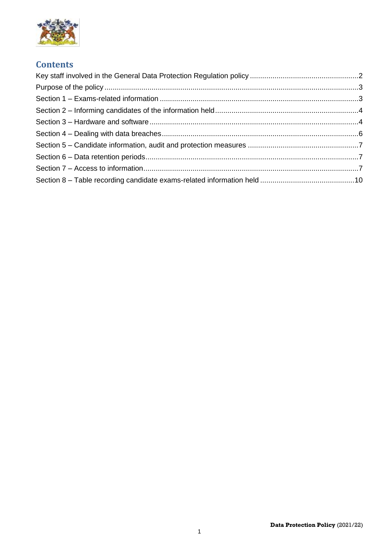

## **Contents**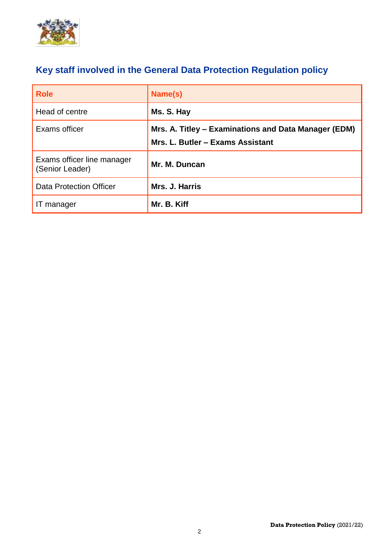

# <span id="page-2-0"></span>**Key staff involved in the General Data Protection Regulation policy**

| <b>Role</b>                                   | Name(s)                                                                                  |
|-----------------------------------------------|------------------------------------------------------------------------------------------|
| Head of centre                                | Ms. S. Hay                                                                               |
| Exams officer                                 | Mrs. A. Titley – Examinations and Data Manager (EDM)<br>Mrs. L. Butler - Exams Assistant |
| Exams officer line manager<br>(Senior Leader) | Mr. M. Duncan                                                                            |
| <b>Data Protection Officer</b>                | Mrs. J. Harris                                                                           |
| IT manager                                    | Mr. B. Kiff                                                                              |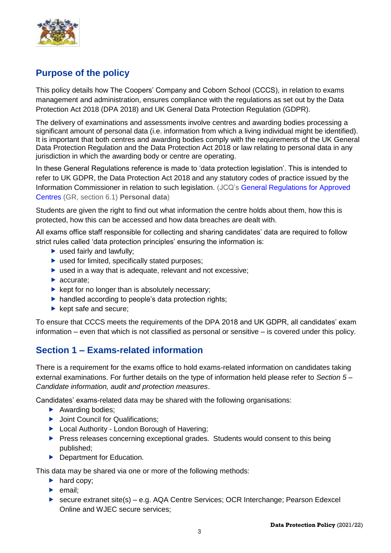

# <span id="page-3-0"></span>**Purpose of the policy**

This policy details how The Coopers' Company and Coborn School (CCCS), in relation to exams management and administration, ensures compliance with the regulations as set out by the Data Protection Act 2018 (DPA 2018) and UK General Data Protection Regulation (GDPR).

The delivery of examinations and assessments involve centres and awarding bodies processing a significant amount of personal data (i.e. information from which a living individual might be identified). It is important that both centres and awarding bodies comply with the requirements of the UK General Data Protection Regulation and the Data Protection Act 2018 or law relating to personal data in any jurisdiction in which the awarding body or centre are operating.

In these General Regulations reference is made to 'data protection legislation'. This is intended to refer to UK GDPR, the Data Protection Act 2018 and any statutory codes of practice issued by the Information Commissioner in relation to such legislation. (JCQ's [General Regulations for Approved](https://www.jcq.org.uk/exams-office/general-regulations/)  [Centres](https://www.jcq.org.uk/exams-office/general-regulations/) (GR, section 6.1) **Personal data**)

Students are given the right to find out what information the centre holds about them, how this is protected, how this can be accessed and how data breaches are dealt with.

All exams office staff responsible for collecting and sharing candidates' data are required to follow strict rules called 'data protection principles' ensuring the information is:

- $\blacktriangleright$  used fairly and lawfully:
- ▶ used for limited, specifically stated purposes;
- ▶ used in a way that is adequate, relevant and not excessive;
- accurate:
- $\blacktriangleright$  kept for no longer than is absolutely necessary;
- $\blacktriangleright$  handled according to people's data protection rights;
- $\blacktriangleright$  kept safe and secure;

To ensure that CCCS meets the requirements of the DPA 2018 and UK GDPR, all candidates' exam information – even that which is not classified as personal or sensitive – is covered under this policy.

## <span id="page-3-1"></span>**Section 1 – Exams-related information**

There is a requirement for the exams office to hold exams-related information on candidates taking external examinations. For further details on the type of information held please refer to *Section 5 – Candidate information, audit and protection measures*.

Candidates' exams-related data may be shared with the following organisations:

- $\blacktriangleright$  Awarding bodies:
- **D** Joint Council for Qualifications;
- ▶ Local Authority London Borough of Havering;
- **Press releases concerning exceptional grades. Students would consent to this being** published;
- ▶ Department for Education.

This data may be shared via one or more of the following methods:

- $\blacktriangleright$  hard copy;
- $\blacktriangleright$  email;
- ▶ secure extranet site(s) e.g. AQA Centre Services; OCR Interchange; Pearson Edexcel Online and WJEC secure services;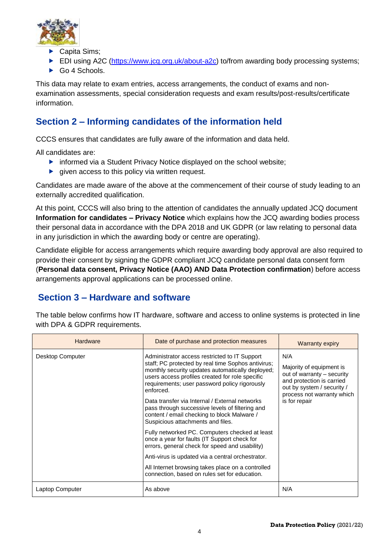

- Capita Sims;
- EDI using A2C [\(https://www.jcq.org.uk/about-a2c\)](https://www.jcq.org.uk/about-a2c) to/from awarding body processing systems;
- $\triangleright$  Go 4 Schools.

This data may relate to exam entries, access arrangements, the conduct of exams and nonexamination assessments, special consideration requests and exam results/post-results/certificate information.

# <span id="page-4-0"></span>**Section 2 – Informing candidates of the information held**

CCCS ensures that candidates are fully aware of the information and data held.

All candidates are:

- **F** informed via a Student Privacy Notice displayed on the school website;
- $\blacktriangleright$  given access to this policy via written request.

Candidates are made aware of the above at the commencement of their course of study leading to an externally accredited qualification.

At this point, CCCS will also bring to the attention of candidates the annually updated JCQ document **Information for candidates – Privacy Notice** which explains how the JCQ awarding bodies process their personal data in accordance with the DPA 2018 and UK GDPR (or law relating to personal data in any jurisdiction in which the awarding body or centre are operating).

Candidate eligible for access arrangements which require awarding body approval are also required to provide their consent by signing the GDPR compliant JCQ candidate personal data consent form (**Personal data consent, Privacy Notice (AAO) AND Data Protection confirmation**) before access arrangements approval applications can be processed online.

# <span id="page-4-1"></span>**Section 3 – Hardware and software**

| <b>Hardware</b>  | Date of purchase and protection measures                                                                                                                                                                                                                                                                                                                                                                                                                          | <b>Warranty expiry</b>                                                                                                                                                  |  |
|------------------|-------------------------------------------------------------------------------------------------------------------------------------------------------------------------------------------------------------------------------------------------------------------------------------------------------------------------------------------------------------------------------------------------------------------------------------------------------------------|-------------------------------------------------------------------------------------------------------------------------------------------------------------------------|--|
| Desktop Computer | Administrator access restricted to IT Support<br>staff; PC protected by real time Sophos antivirus;<br>monthly security updates automatically deployed;<br>users access profiles created for role specific<br>requirements; user password policy rigorously<br>enforced.<br>Data transfer via Internal / External networks<br>pass through successive levels of filtering and<br>content / email checking to block Malware /<br>Suspicious attachments and files. | N/A<br>Majority of equipment is<br>out of warranty - security<br>and protection is carried<br>out by system / security /<br>process not warranty which<br>is for repair |  |
|                  | Fully networked PC. Computers checked at least<br>once a year for faults (IT Support check for<br>errors, general check for speed and usability)                                                                                                                                                                                                                                                                                                                  |                                                                                                                                                                         |  |
|                  | Anti-virus is updated via a central orchestrator.                                                                                                                                                                                                                                                                                                                                                                                                                 |                                                                                                                                                                         |  |
|                  | All Internet browsing takes place on a controlled<br>connection, based on rules set for education.                                                                                                                                                                                                                                                                                                                                                                |                                                                                                                                                                         |  |
| Laptop Computer  | As above                                                                                                                                                                                                                                                                                                                                                                                                                                                          | N/A                                                                                                                                                                     |  |

The table below confirms how IT hardware, software and access to online systems is protected in line with DPA & GDPR requirements.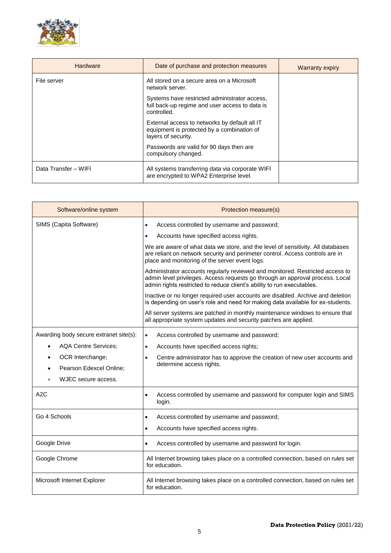

| <b>Hardware</b>      | Date of purchase and protection measures                                                                           | <b>Warranty expiry</b> |
|----------------------|--------------------------------------------------------------------------------------------------------------------|------------------------|
| File server          | All stored on a secure area on a Microsoft<br>network server.                                                      |                        |
|                      | Systems have restricted administrator access,<br>full back-up regime and user access to data is<br>controlled.     |                        |
|                      | External access to networks by default all IT<br>equipment is protected by a combination of<br>layers of security. |                        |
|                      | Passwords are valid for 90 days then are<br>compulsory changed.                                                    |                        |
| Data Transfer - WIFI | All systems transferring data via corporate WIFI<br>are encrypted to WPA2 Enterprise level.                        |                        |

| Software/online system                 | Protection measure(s)                                                                                                                                                                                                                    |
|----------------------------------------|------------------------------------------------------------------------------------------------------------------------------------------------------------------------------------------------------------------------------------------|
| SIMS (Capita Software)                 | Access controlled by username and password;<br>$\bullet$                                                                                                                                                                                 |
|                                        | Accounts have specified access rights.                                                                                                                                                                                                   |
|                                        | We are aware of what data we store, and the level of sensitivity. All databases<br>are reliant on network security and perimeter control. Access controls are in<br>place and monitoring of the server event logs.                       |
|                                        | Administrator accounts regularly reviewed and monitored. Restricted access to<br>admin level privileges. Access requests go through an approval process. Local<br>admin rights restricted to reduce client's ability to run executables. |
|                                        | Inactive or no longer required user accounts are disabled. Archive and deletion<br>is depending on user's role and need for making data available for ex-students.                                                                       |
|                                        | All server systems are patched in monthly maintenance windows to ensure that<br>all appropriate system updates and security patches are applied.                                                                                         |
| Awarding body secure extranet site(s): | Access controlled by username and password;<br>$\bullet$                                                                                                                                                                                 |
| <b>AQA Centre Services:</b>            | Accounts have specified access rights;<br>٠                                                                                                                                                                                              |
| OCR Interchange;                       | Centre administrator has to approve the creation of new user accounts and<br>$\bullet$                                                                                                                                                   |
| Pearson Edexcel Online;<br>$\bullet$   | determine access rights.                                                                                                                                                                                                                 |
| WJEC secure access.                    |                                                                                                                                                                                                                                          |
| A2C                                    | Access controlled by username and password for computer login and SIMS<br>$\bullet$<br>login.                                                                                                                                            |
| Go 4 Schools                           | Access controlled by username and password;<br>$\bullet$                                                                                                                                                                                 |
|                                        | Accounts have specified access rights.<br>$\bullet$                                                                                                                                                                                      |
| Google Drive                           | Access controlled by username and password for login.<br>$\bullet$                                                                                                                                                                       |
| Google Chrome                          | All Internet browsing takes place on a controlled connection, based on rules set<br>for education.                                                                                                                                       |
| Microsoft Internet Explorer            | All Internet browsing takes place on a controlled connection, based on rules set<br>for education.                                                                                                                                       |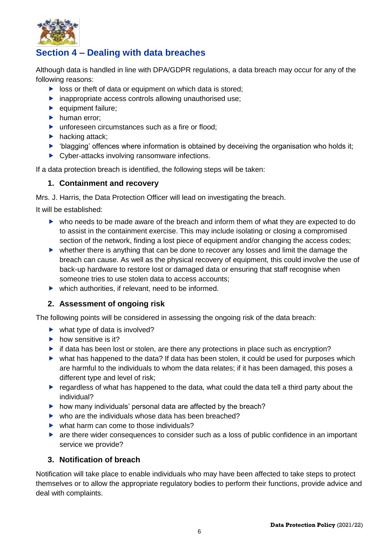

# <span id="page-6-0"></span>**Section 4 – Dealing with data breaches**

Although data is handled in line with DPA/GDPR regulations, a data breach may occur for any of the following reasons:

- $\triangleright$  loss or theft of data or equipment on which data is stored;
- $\blacktriangleright$  inappropriate access controls allowing unauthorised use:
- $\blacktriangleright$  equipment failure;
- $\blacktriangleright$  human error;
- ▶ unforeseen circumstances such as a fire or flood:
- $\blacktriangleright$  hacking attack;
- 'blagging' offences where information is obtained by deceiving the organisation who holds it;
- ▶ Cyber-attacks involving ransomware infections.

If a data protection breach is identified, the following steps will be taken:

#### **1. Containment and recovery**

Mrs. J. Harris, the Data Protection Officer will lead on investigating the breach.

It will be established:

- who needs to be made aware of the breach and inform them of what they are expected to do to assist in the containment exercise. This may include isolating or closing a compromised section of the network, finding a lost piece of equipment and/or changing the access codes;
- whether there is anything that can be done to recover any losses and limit the damage the breach can cause. As well as the physical recovery of equipment, this could involve the use of back-up hardware to restore lost or damaged data or ensuring that staff recognise when someone tries to use stolen data to access accounts;
- $\blacktriangleright$  which authorities, if relevant, need to be informed.

#### **2. Assessment of ongoing risk**

The following points will be considered in assessing the ongoing risk of the data breach:

- $\blacktriangleright$  what type of data is involved?
- $\blacktriangleright$  how sensitive is it?
- $\blacktriangleright$  if data has been lost or stolen, are there any protections in place such as encryption?
- what has happened to the data? If data has been stolen, it could be used for purposes which are harmful to the individuals to whom the data relates; if it has been damaged, this poses a different type and level of risk;
- **P** regardless of what has happened to the data, what could the data tell a third party about the individual?
- $\blacktriangleright$  how many individuals' personal data are affected by the breach?
- $\triangleright$  who are the individuals whose data has been breached?
- $\triangleright$  what harm can come to those individuals?
- are there wider consequences to consider such as a loss of public confidence in an important service we provide?

#### **3. Notification of breach**

Notification will take place to enable individuals who may have been affected to take steps to protect themselves or to allow the appropriate regulatory bodies to perform their functions, provide advice and deal with complaints.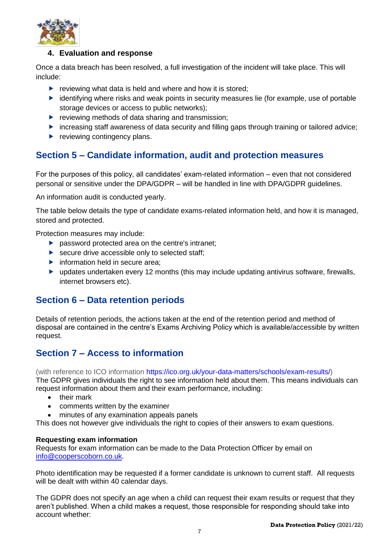

#### **4. Evaluation and response**

Once a data breach has been resolved, a full investigation of the incident will take place. This will include:

- $\blacktriangleright$  reviewing what data is held and where and how it is stored;
- $\blacktriangleright$  identifying where risks and weak points in security measures lie (for example, use of portable storage devices or access to public networks);
- $\blacktriangleright$  reviewing methods of data sharing and transmission;
- increasing staff awareness of data security and filling gaps through training or tailored advice;
- $\blacktriangleright$  reviewing contingency plans.

## <span id="page-7-0"></span>**Section 5 – Candidate information, audit and protection measures**

For the purposes of this policy, all candidates' exam-related information – even that not considered personal or sensitive under the DPA/GDPR – will be handled in line with DPA/GDPR guidelines.

An information audit is conducted yearly.

The table below details the type of candidate exams-related information held, and how it is managed, stored and protected.

Protection measures may include:

- **P** password protected area on the centre's intranet;
- ▶ secure drive accessible only to selected staff;
- $\blacktriangleright$  information held in secure area;
- updates undertaken every 12 months (this may include updating antivirus software, firewalls, internet browsers etc).

### <span id="page-7-1"></span>**Section 6 – Data retention periods**

Details of retention periods, the actions taken at the end of the retention period and method of disposal are contained in the centre's Exams Archiving Policy which is available/accessible by written request.

## <span id="page-7-2"></span>**Section 7 – Access to information**

(with reference to ICO information [https://ico.org.uk/your-data-matters/schools/exam-results/\)](https://ico.org.uk/your-data-matters/schools/exam-results/)

The GDPR gives individuals the right to see information held about them. This means individuals can request information about them and their exam performance, including:

- their mark
- comments written by the examiner
- minutes of any examination appeals panels

This does not however give individuals the right to copies of their answers to exam questions.

#### **Requesting exam information**

Requests for exam information can be made to the Data Protection Officer by email on [info@cooperscoborn.co.uk.](mailto:info@cooperscoborn.co.uk)

Photo identification may be requested if a former candidate is unknown to current staff. All requests will be dealt with within 40 calendar days.

The GDPR does not specify an age when a child can request their exam results or request that they aren't published. When a child makes a request, those responsible for responding should take into account whether: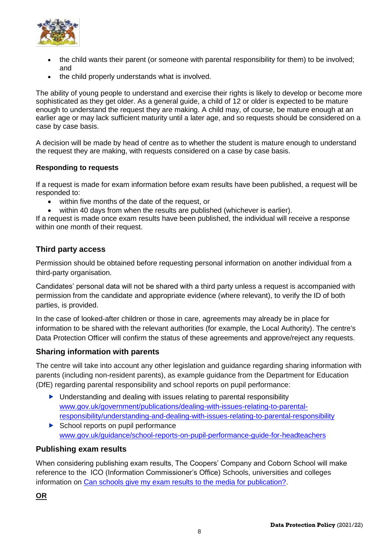

- the child wants their parent (or someone with parental responsibility for them) to be involved; and
- the child properly understands what is involved.

The ability of young people to understand and exercise their rights is likely to develop or become more sophisticated as they get older. As a general guide, a child of 12 or older is expected to be mature enough to understand the request they are making. A child may, of course, be mature enough at an earlier age or may lack sufficient maturity until a later age, and so requests should be considered on a case by case basis.

A decision will be made by head of centre as to whether the student is mature enough to understand the request they are making, with requests considered on a case by case basis.

#### **Responding to requests**

If a request is made for exam information before exam results have been published, a request will be responded to:

- within five months of the date of the request, or
- within 40 days from when the results are published (whichever is earlier).

If a request is made once exam results have been published, the individual will receive a response within one month of their request.

#### **Third party access**

Permission should be obtained before requesting personal information on another individual from a third-party organisation.

Candidates' personal data will not be shared with a third party unless a request is accompanied with permission from the candidate and appropriate evidence (where relevant), to verify the ID of both parties, is provided.

In the case of looked-after children or those in care, agreements may already be in place for information to be shared with the relevant authorities (for example, the Local Authority). The centre's Data Protection Officer will confirm the status of these agreements and approve/reject any requests.

#### **Sharing information with parents**

The centre will take into account any other legislation and guidance regarding sharing information with parents (including non-resident parents), as example guidance from the Department for Education (DfE) regarding parental responsibility and school reports on pupil performance:

- ▶ Understanding and dealing with issues relating to parental responsibility [www.gov.uk/government/publications/dealing-with-issues-relating-to-parental](https://www.gov.uk/government/publications/dealing-with-issues-relating-to-parental-responsibility/understanding-and-dealing-with-issues-relating-to-parental-responsibility)[responsibility/understanding-and-dealing-with-issues-relating-to-parental-responsibility](https://www.gov.uk/government/publications/dealing-with-issues-relating-to-parental-responsibility/understanding-and-dealing-with-issues-relating-to-parental-responsibility)
- $\triangleright$  School reports on pupil performance [www.gov.uk/guidance/school-reports-on-pupil-performance-guide-for-headteachers](http://www.gov.uk/guidance/school-reports-on-pupil-performance-guide-for-headteachers)

#### **Publishing exam results**

When considering publishing exam results, The Coopers' Company and Coborn School will make reference to the ICO (Information Commissioner's Office) Schools, universities and colleges information on [Can schools give my exam results to the media for publication?.](https://ico.org.uk/your-data-matters/schools/exam-results)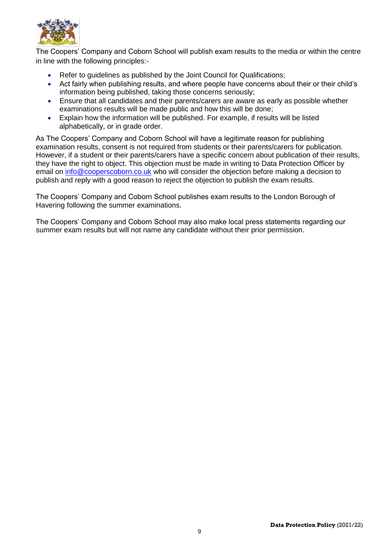

The Coopers' Company and Coborn School will publish exam results to the media or within the centre in line with the following principles:-

- Refer to quidelines as published by the Joint Council for Qualifications;
- Act fairly when publishing results, and where people have concerns about their or their child's information being published, taking those concerns seriously;
- Ensure that all candidates and their parents/carers are aware as early as possible whether examinations results will be made public and how this will be done;
- Explain how the information will be published. For example, if results will be listed alphabetically, or in grade order.

As The Coopers' Company and Coborn School will have a legitimate reason for publishing examination results, consent is not required from students or their parents/carers for publication. However, if a student or their parents/carers have a specific concern about publication of their results, they have the right to object. This objection must be made in writing to Data Protection Officer by email on [info@cooperscoborn.co.uk](mailto:info@cooperscoborn.co.uk) who will consider the objection before making a decision to publish and reply with a good reason to reject the objection to publish the exam results.

The Coopers' Company and Coborn School publishes exam results to the London Borough of Havering following the summer examinations.

The Coopers' Company and Coborn School may also make local press statements regarding our summer exam results but will not name any candidate without their prior permission.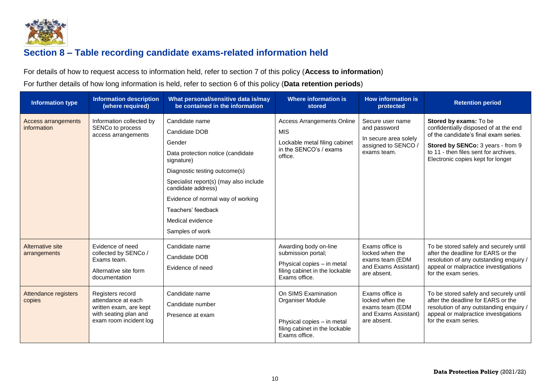

# **Section 8 – Table recording candidate exams-related information held**

For details of how to request access to information held, refer to section 7 of this policy (**Access to information**)

For further details of how long information is held, refer to section 6 of this policy (**Data retention periods**)

<span id="page-10-0"></span>

| <b>Information type</b>                   | <b>Information description</b><br>(where required)                                                                  | What personal/sensitive data is/may<br>be contained in the information                                                                                                                                                                                                                          | Where information is<br>stored                                                                                               | <b>How information is</b><br>protected                                                          | <b>Retention period</b>                                                                                                                                                                                                     |
|-------------------------------------------|---------------------------------------------------------------------------------------------------------------------|-------------------------------------------------------------------------------------------------------------------------------------------------------------------------------------------------------------------------------------------------------------------------------------------------|------------------------------------------------------------------------------------------------------------------------------|-------------------------------------------------------------------------------------------------|-----------------------------------------------------------------------------------------------------------------------------------------------------------------------------------------------------------------------------|
| <b>Access arrangements</b><br>information | Information collected by<br>SENCo to process<br>access arrangements                                                 | Candidate name<br>Candidate DOB<br>Gender<br>Data protection notice (candidate<br>signature)<br>Diagnostic testing outcome(s)<br>Specialist report(s) (may also include<br>candidate address)<br>Evidence of normal way of working<br>Teachers' feedback<br>Medical evidence<br>Samples of work | <b>Access Arrangements Online</b><br><b>MIS</b><br>Lockable metal filing cabinet<br>in the SENCO's / exams<br>office.        | Secure user name<br>and password<br>In secure area solely<br>assigned to SENCO /<br>exams team. | Stored by exams: To be<br>confidentially disposed of at the end<br>of the candidate's final exam series.<br>Stored by SENCo: 3 years - from 9<br>to 11 - then files sent for archives.<br>Electronic copies kept for longer |
| Alternative site<br>arrangements          | Evidence of need<br>collected by SENCo /<br>Exams team.<br>Alternative site form<br>documentation                   | Candidate name<br>Candidate DOB<br>Evidence of need                                                                                                                                                                                                                                             | Awarding body on-line<br>submission portal;<br>Physical copies - in metal<br>filing cabinet in the lockable<br>Exams office. | Exams office is<br>locked when the<br>exams team (EDM<br>and Exams Assistant)<br>are absent.    | To be stored safely and securely until<br>after the deadline for EARS or the<br>resolution of any outstanding enquiry /<br>appeal or malpractice investigations<br>for the exam series.                                     |
| Attendance registers<br>copies            | Registers record<br>attendance at each<br>written exam, are kept<br>with seating plan and<br>exam room incident log | Candidate name<br>Candidate number<br>Presence at exam                                                                                                                                                                                                                                          | On SIMS Examination<br>Organiser Module<br>Physical copies - in metal<br>filing cabinet in the lockable<br>Exams office.     | Exams office is<br>locked when the<br>exams team (EDM<br>and Exams Assistant)<br>are absent.    | To be stored safely and securely until<br>after the deadline for EARS or the<br>resolution of any outstanding enquiry /<br>appeal or malpractice investigations<br>for the exam series.                                     |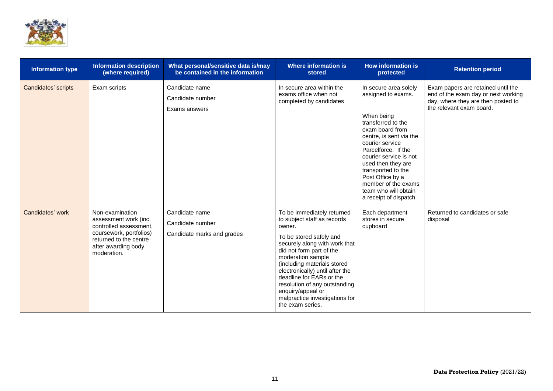

| <b>Information type</b> | <b>Information description</b><br>(where required)                                                                                                            | What personal/sensitive data is/may<br>be contained in the information | <b>Where information is</b><br>stored                                                                                                                                                                                                                                                                                                                                                      | <b>How information is</b><br>protected                                                                                                                                                                                                                                                                                                     | <b>Retention period</b>                                                                                                                     |
|-------------------------|---------------------------------------------------------------------------------------------------------------------------------------------------------------|------------------------------------------------------------------------|--------------------------------------------------------------------------------------------------------------------------------------------------------------------------------------------------------------------------------------------------------------------------------------------------------------------------------------------------------------------------------------------|--------------------------------------------------------------------------------------------------------------------------------------------------------------------------------------------------------------------------------------------------------------------------------------------------------------------------------------------|---------------------------------------------------------------------------------------------------------------------------------------------|
| Candidates' scripts     | Exam scripts                                                                                                                                                  | Candidate name<br>Candidate number<br>Exams answers                    | In secure area within the<br>exams office when not<br>completed by candidates                                                                                                                                                                                                                                                                                                              | In secure area solely<br>assigned to exams.<br>When being<br>transferred to the<br>exam board from<br>centre, is sent via the<br>courier service<br>Parcelforce. If the<br>courier service is not<br>used then they are<br>transported to the<br>Post Office by a<br>member of the exams<br>team who will obtain<br>a receipt of dispatch. | Exam papers are retained until the<br>end of the exam day or next working<br>day, where they are then posted to<br>the relevant exam board. |
| Candidates' work        | Non-examination<br>assessment work (inc.<br>controlled assessment.<br>coursework, portfolios)<br>returned to the centre<br>after awarding body<br>moderation. | Candidate name<br>Candidate number<br>Candidate marks and grades       | To be immediately returned<br>to subject staff as records<br>owner.<br>To be stored safely and<br>securely along with work that<br>did not form part of the<br>moderation sample<br>(including materials stored<br>electronically) until after the<br>deadline for EARs or the<br>resolution of any outstanding<br>enquiry/appeal or<br>malpractice investigations for<br>the exam series. | Each department<br>stores in secure<br>cupboard                                                                                                                                                                                                                                                                                            | Returned to candidates or safe<br>disposal                                                                                                  |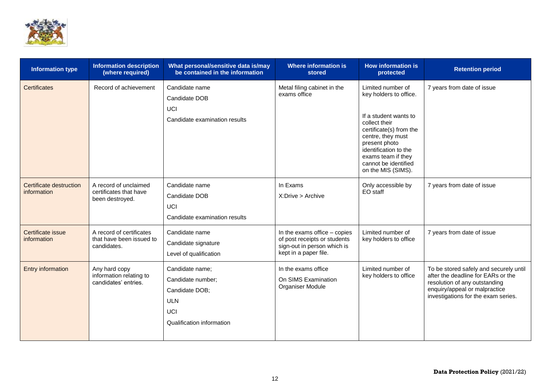

| <b>Information type</b>                | <b>Information description</b><br>(where required)                  | What personal/sensitive data is/may<br>be contained in the information                                   | <b>Where information is</b><br>stored                                                                                | <b>How information is</b><br>protected                                                                                                                                                                                                              | <b>Retention period</b>                                                                                                                                                               |
|----------------------------------------|---------------------------------------------------------------------|----------------------------------------------------------------------------------------------------------|----------------------------------------------------------------------------------------------------------------------|-----------------------------------------------------------------------------------------------------------------------------------------------------------------------------------------------------------------------------------------------------|---------------------------------------------------------------------------------------------------------------------------------------------------------------------------------------|
| <b>Certificates</b>                    | Record of achievement                                               | Candidate name<br>Candidate DOB<br>UCI<br>Candidate examination results                                  | Metal filing cabinet in the<br>exams office                                                                          | Limited number of<br>key holders to office.<br>If a student wants to<br>collect their<br>certificate(s) from the<br>centre, they must<br>present photo<br>identification to the<br>exams team if they<br>cannot be identified<br>on the MIS (SIMS). | 7 years from date of issue                                                                                                                                                            |
| Certificate destruction<br>information | A record of unclaimed<br>certificates that have<br>been destroyed.  | Candidate name<br>Candidate DOB<br>UCI<br>Candidate examination results                                  | In Exams<br>X: Drive > Archive                                                                                       | Only accessible by<br>EO staff                                                                                                                                                                                                                      | 7 years from date of issue                                                                                                                                                            |
| Certificate issue<br>information       | A record of certificates<br>that have been issued to<br>candidates. | Candidate name<br>Candidate signature<br>Level of qualification                                          | In the exams office - copies<br>of post receipts or students<br>sign-out in person which is<br>kept in a paper file. | Limited number of<br>key holders to office                                                                                                                                                                                                          | 7 years from date of issue                                                                                                                                                            |
| <b>Entry information</b>               | Any hard copy<br>information relating to<br>candidates' entries.    | Candidate name;<br>Candidate number;<br>Candidate DOB;<br><b>ULN</b><br>UCI<br>Qualification information | In the exams office<br>On SIMS Examination<br>Organiser Module                                                       | Limited number of<br>key holders to office                                                                                                                                                                                                          | To be stored safely and securely until<br>after the deadline for EARs or the<br>resolution of any outstanding<br>enquiry/appeal or malpractice<br>investigations for the exam series. |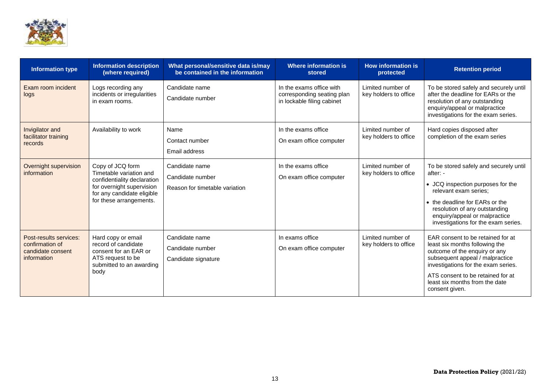

| <b>Information type</b>                                                       | <b>Information description</b><br>(where required)                                                                                                               | What personal/sensitive data is/may<br>be contained in the information | <b>Where information is</b><br>stored                                                | <b>How information is</b><br>protected     | <b>Retention period</b>                                                                                                                                                                                                                                                 |
|-------------------------------------------------------------------------------|------------------------------------------------------------------------------------------------------------------------------------------------------------------|------------------------------------------------------------------------|--------------------------------------------------------------------------------------|--------------------------------------------|-------------------------------------------------------------------------------------------------------------------------------------------------------------------------------------------------------------------------------------------------------------------------|
| Exam room incident<br>logs                                                    | Logs recording any<br>incidents or irregularities<br>in exam rooms.                                                                                              | Candidate name<br>Candidate number                                     | In the exams office with<br>corresponding seating plan<br>in lockable filing cabinet | Limited number of<br>key holders to office | To be stored safely and securely until<br>after the deadline for EARs or the<br>resolution of any outstanding<br>enquiry/appeal or malpractice<br>investigations for the exam series.                                                                                   |
| Invigilator and<br>facilitator training<br>records                            | Availability to work                                                                                                                                             | Name<br>Contact number<br>Email address                                | In the exams office<br>On exam office computer                                       | Limited number of<br>key holders to office | Hard copies disposed after<br>completion of the exam series                                                                                                                                                                                                             |
| Overnight supervision<br>information                                          | Copy of JCQ form<br>Timetable variation and<br>confidentiality declaration<br>for overnight supervision<br>for any candidate eligible<br>for these arrangements. | Candidate name<br>Candidate number<br>Reason for timetable variation   | In the exams office<br>On exam office computer                                       | Limited number of<br>key holders to office | To be stored safely and securely until<br>after: -<br>• JCQ inspection purposes for the<br>relevant exam series:<br>• the deadline for EARs or the<br>resolution of any outstanding<br>enquiry/appeal or malpractice<br>investigations for the exam series.             |
| Post-results services:<br>confirmation of<br>candidate consent<br>information | Hard copy or email<br>record of candidate<br>consent for an EAR or<br>ATS request to be<br>submitted to an awarding<br>body                                      | Candidate name<br>Candidate number<br>Candidate signature              | In exams office<br>On exam office computer                                           | Limited number of<br>key holders to office | EAR consent to be retained for at<br>least six months following the<br>outcome of the enquiry or any<br>subsequent appeal / malpractice<br>investigations for the exam series.<br>ATS consent to be retained for at<br>least six months from the date<br>consent given. |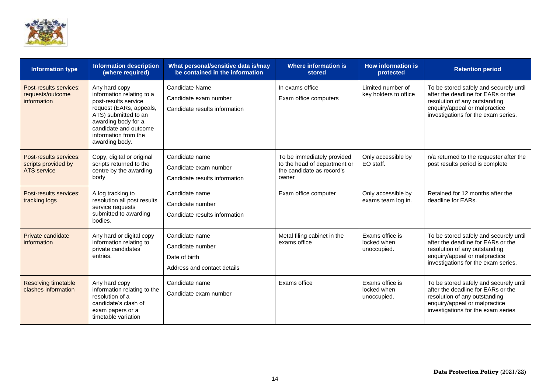

| <b>Information type</b>                                      | <b>Information description</b><br>(where required)                                                                                                                                                              | What personal/sensitive data is/may<br>be contained in the information             | <b>Where information is</b><br>stored                                                            | How information is<br>protected               | <b>Retention period</b>                                                                                                                                                               |
|--------------------------------------------------------------|-----------------------------------------------------------------------------------------------------------------------------------------------------------------------------------------------------------------|------------------------------------------------------------------------------------|--------------------------------------------------------------------------------------------------|-----------------------------------------------|---------------------------------------------------------------------------------------------------------------------------------------------------------------------------------------|
| Post-results services:<br>requests/outcome<br>information    | Any hard copy<br>information relating to a<br>post-results service<br>request (EARs, appeals,<br>ATS) submitted to an<br>awarding body for a<br>candidate and outcome<br>information from the<br>awarding body. | Candidate Name<br>Candidate exam number<br>Candidate results information           | In exams office<br>Exam office computers                                                         | Limited number of<br>key holders to office    | To be stored safely and securely until<br>after the deadline for EARs or the<br>resolution of any outstanding<br>enquiry/appeal or malpractice<br>investigations for the exam series. |
| Post-results services:<br>scripts provided by<br>ATS service | Copy, digital or original<br>scripts returned to the<br>centre by the awarding<br>body                                                                                                                          | Candidate name<br>Candidate exam number<br>Candidate results information           | To be immediately provided<br>to the head of department or<br>the candidate as record's<br>owner | Only accessible by<br>EO staff.               | n/a returned to the requester after the<br>post results period is complete                                                                                                            |
| Post-results services:<br>tracking logs                      | A log tracking to<br>resolution all post results<br>service requests<br>submitted to awarding<br>bodies.                                                                                                        | Candidate name<br>Candidate number<br>Candidate results information                | Exam office computer                                                                             | Only accessible by<br>exams team log in.      | Retained for 12 months after the<br>deadline for EARs.                                                                                                                                |
| Private candidate<br>information                             | Any hard or digital copy<br>information relating to<br>private candidates'<br>entries.                                                                                                                          | Candidate name<br>Candidate number<br>Date of birth<br>Address and contact details | Metal filing cabinet in the<br>exams office                                                      | Exams office is<br>locked when<br>unoccupied. | To be stored safely and securely until<br>after the deadline for EARs or the<br>resolution of any outstanding<br>enquiry/appeal or malpractice<br>investigations for the exam series. |
| <b>Resolving timetable</b><br>clashes information            | Any hard copy<br>information relating to the<br>resolution of a<br>candidate's clash of<br>exam papers or a<br>timetable variation                                                                              | Candidate name<br>Candidate exam number                                            | Exams office                                                                                     | Exams office is<br>locked when<br>unoccupied. | To be stored safely and securely until<br>after the deadline for EARs or the<br>resolution of any outstanding<br>enquiry/appeal or malpractice<br>investigations for the exam series  |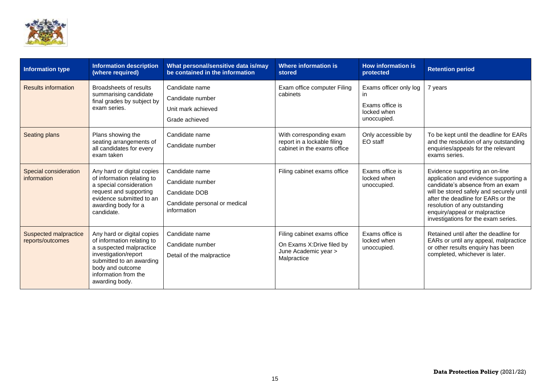

| <b>Information type</b>                   | <b>Information description</b><br>(where required)                                                                                                                                                    | What personal/sensitive data is/may<br>be contained in the information                              | Where information is<br>stored                                                                   | <b>How information is</b><br>protected                                        | <b>Retention period</b>                                                                                                                                                                                                                                                                                |
|-------------------------------------------|-------------------------------------------------------------------------------------------------------------------------------------------------------------------------------------------------------|-----------------------------------------------------------------------------------------------------|--------------------------------------------------------------------------------------------------|-------------------------------------------------------------------------------|--------------------------------------------------------------------------------------------------------------------------------------------------------------------------------------------------------------------------------------------------------------------------------------------------------|
| <b>Results information</b>                | Broadsheets of results<br>summarising candidate<br>final grades by subject by<br>exam series.                                                                                                         | Candidate name<br>Candidate number<br>Unit mark achieved<br>Grade achieved                          | Exam office computer Filing<br>cabinets                                                          | Exams officer only log<br>in<br>Exams office is<br>locked when<br>unoccupied. | 7 years                                                                                                                                                                                                                                                                                                |
| <b>Seating plans</b>                      | Plans showing the<br>seating arrangements of<br>all candidates for every<br>exam taken                                                                                                                | Candidate name<br>Candidate number                                                                  | With corresponding exam<br>report in a lockable filing<br>cabinet in the exams office            | Only accessible by<br>EO staff                                                | To be kept until the deadline for EARs<br>and the resolution of any outstanding<br>enquiries/appeals for the relevant<br>exams series.                                                                                                                                                                 |
| Special consideration<br>information      | Any hard or digital copies<br>of information relating to<br>a special consideration<br>request and supporting<br>evidence submitted to an<br>awarding body for a<br>candidate.                        | Candidate name<br>Candidate number<br>Candidate DOB<br>Candidate personal or medical<br>information | Filing cabinet exams office                                                                      | Exams office is<br>locked when<br>unoccupied.                                 | Evidence supporting an on-line<br>application and evidence supporting a<br>candidate's absence from an exam<br>will be stored safely and securely until<br>after the deadline for EARs or the<br>resolution of any outstanding<br>enquiry/appeal or malpractice<br>investigations for the exam series. |
| Suspected malpractice<br>reports/outcomes | Any hard or digital copies<br>of information relating to<br>a suspected malpractice<br>investigation/report<br>submitted to an awarding<br>body and outcome<br>information from the<br>awarding body. | Candidate name<br>Candidate number<br>Detail of the malpractice                                     | Filing cabinet exams office<br>On Exams X: Drive filed by<br>June Academic year ><br>Malpractice | Exams office is<br>locked when<br>unoccupied.                                 | Retained until after the deadline for<br>EARs or until any appeal, malpractice<br>or other results enquiry has been<br>completed, whichever is later.                                                                                                                                                  |